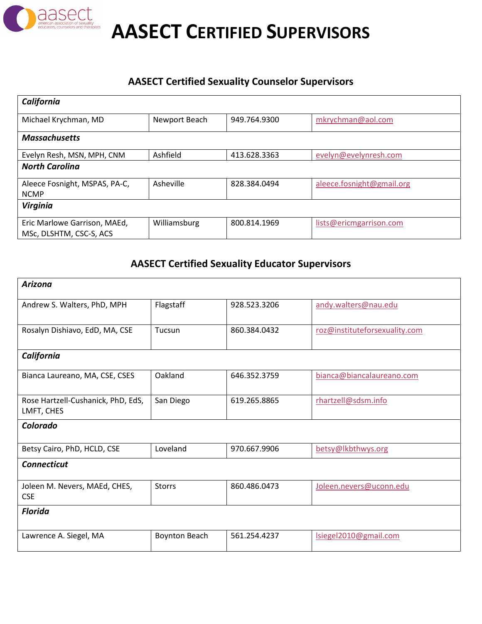

**AASECT CERTIFIED SUPERVISORS**

## **AASECT Certified Sexuality Counselor Supervisors**

| California                                              |               |              |                           |
|---------------------------------------------------------|---------------|--------------|---------------------------|
| Michael Krychman, MD                                    | Newport Beach | 949.764.9300 | mkrychman@aol.com         |
| <b>Massachusetts</b>                                    |               |              |                           |
| Evelyn Resh, MSN, MPH, CNM                              | Ashfield      | 413.628.3363 | evelyn@evelynresh.com     |
| <b>North Carolina</b>                                   |               |              |                           |
| Aleece Fosnight, MSPAS, PA-C,<br><b>NCMP</b>            | Asheville     | 828.384.0494 | aleece.fosnight@gmail.org |
| Virginia                                                |               |              |                           |
| Eric Marlowe Garrison, MAEd,<br>MSc, DLSHTM, CSC-S, ACS | Williamsburg  | 800.814.1969 | lists@ericmgarrison.com   |

## **AASECT Certified Sexuality Educator Supervisors**

| Arizona                                          |                      |              |                               |
|--------------------------------------------------|----------------------|--------------|-------------------------------|
| Andrew S. Walters, PhD, MPH                      | Flagstaff            | 928.523.3206 | andy.walters@nau.edu          |
| Rosalyn Dishiavo, EdD, MA, CSE                   | Tucsun               | 860.384.0432 | roz@instituteforsexuality.com |
| California                                       |                      |              |                               |
| Bianca Laureano, MA, CSE, CSES                   | Oakland              | 646.352.3759 | bianca@biancalaureano.com     |
| Rose Hartzell-Cushanick, PhD, EdS,<br>LMFT, CHES | San Diego            | 619.265.8865 | rhartzell@sdsm.info           |
| Colorado                                         |                      |              |                               |
| Betsy Cairo, PhD, HCLD, CSE                      | Loveland             | 970.667.9906 | betsy@lkbthwys.org            |
| <b>Connecticut</b>                               |                      |              |                               |
| Joleen M. Nevers, MAEd, CHES,<br><b>CSE</b>      | <b>Storrs</b>        | 860.486.0473 | Joleen.nevers@uconn.edu       |
| <b>Florida</b>                                   |                      |              |                               |
| Lawrence A. Siegel, MA                           | <b>Boynton Beach</b> | 561.254.4237 | Isiegel2010@gmail.com         |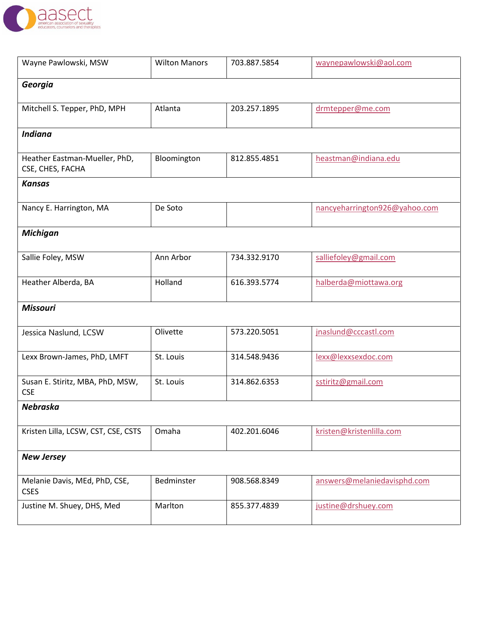

| Wayne Pawlowski, MSW                              | <b>Wilton Manors</b> | 703.887.5854 | waynepawlowski@aol.com        |
|---------------------------------------------------|----------------------|--------------|-------------------------------|
| Georgia                                           |                      |              |                               |
| Mitchell S. Tepper, PhD, MPH                      | Atlanta              | 203.257.1895 | drmtepper@me.com              |
| <b>Indiana</b>                                    |                      |              |                               |
| Heather Eastman-Mueller, PhD,<br>CSE, CHES, FACHA | Bloomington          | 812.855.4851 | heastman@indiana.edu          |
| <b>Kansas</b>                                     |                      |              |                               |
| Nancy E. Harrington, MA                           | De Soto              |              | nancyeharrington926@yahoo.com |
| <b>Michigan</b>                                   |                      |              |                               |
| Sallie Foley, MSW                                 | Ann Arbor            | 734.332.9170 | salliefoley@gmail.com         |
| Heather Alberda, BA                               | Holland              | 616.393.5774 | halberda@miottawa.org         |
| <b>Missouri</b>                                   |                      |              |                               |
| Jessica Naslund, LCSW                             | Olivette             | 573.220.5051 | jnaslund@cccastl.com          |
| Lexx Brown-James, PhD, LMFT                       | St. Louis            | 314.548.9436 | lexx@lexxsexdoc.com           |
| Susan E. Stiritz, MBA, PhD, MSW,<br><b>CSE</b>    | St. Louis            | 314.862.6353 | sstiritz@gmail.com            |
| <b>Nebraska</b>                                   |                      |              |                               |
| Kristen Lilla, LCSW, CST, CSE, CSTS               | Omaha                | 402.201.6046 | kristen@kristenlilla.com      |
| <b>New Jersey</b>                                 |                      |              |                               |
| Melanie Davis, MEd, PhD, CSE,<br><b>CSES</b>      | Bedminster           | 908.568.8349 | answers@melaniedavisphd.com   |
| Justine M. Shuey, DHS, Med                        | Marlton              | 855.377.4839 | justine@drshuey.com           |
|                                                   |                      |              |                               |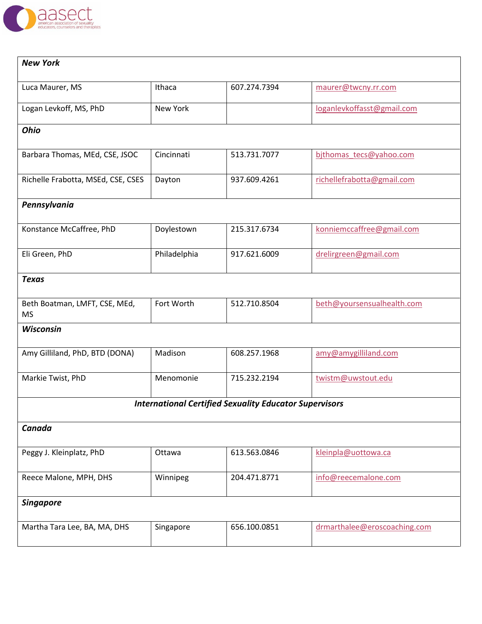

| <b>New York</b>                            |              |                                                               |                              |
|--------------------------------------------|--------------|---------------------------------------------------------------|------------------------------|
|                                            |              |                                                               |                              |
| Luca Maurer, MS                            | Ithaca       | 607.274.7394                                                  | maurer@twcny.rr.com          |
| Logan Levkoff, MS, PhD                     | New York     |                                                               | loganlevkoffasst@gmail.com   |
| <b>Ohio</b>                                |              |                                                               |                              |
| Barbara Thomas, MEd, CSE, JSOC             | Cincinnati   | 513.731.7077                                                  | bjthomas tecs@yahoo.com      |
| Richelle Frabotta, MSEd, CSE, CSES         | Dayton       | 937.609.4261                                                  | richellefrabotta@gmail.com   |
| Pennsylvania                               |              |                                                               |                              |
| Konstance McCaffree, PhD                   | Doylestown   | 215.317.6734                                                  | konniemccaffree@gmail.com    |
| Eli Green, PhD                             | Philadelphia | 917.621.6009                                                  | drelirgreen@gmail.com        |
| <b>Texas</b>                               |              |                                                               |                              |
| Beth Boatman, LMFT, CSE, MEd,<br><b>MS</b> | Fort Worth   | 512.710.8504                                                  | beth@yoursensualhealth.com   |
| <b>Wisconsin</b>                           |              |                                                               |                              |
| Amy Gilliland, PhD, BTD (DONA)             | Madison      | 608.257.1968                                                  | amy@amygilliland.com         |
| Markie Twist, PhD                          | Menomonie    | 715.232.2194                                                  | twistm@uwstout.edu           |
|                                            |              | <b>International Certified Sexuality Educator Supervisors</b> |                              |
| Canada                                     |              |                                                               |                              |
| Peggy J. Kleinplatz, PhD                   | Ottawa       | 613.563.0846                                                  | kleinpla@uottowa.ca          |
| Reece Malone, MPH, DHS                     | Winnipeg     | 204.471.8771                                                  | info@reecemalone.com         |
| <b>Singapore</b>                           |              |                                                               |                              |
| Martha Tara Lee, BA, MA, DHS               | Singapore    | 656.100.0851                                                  | drmarthalee@eroscoaching.com |
|                                            |              |                                                               |                              |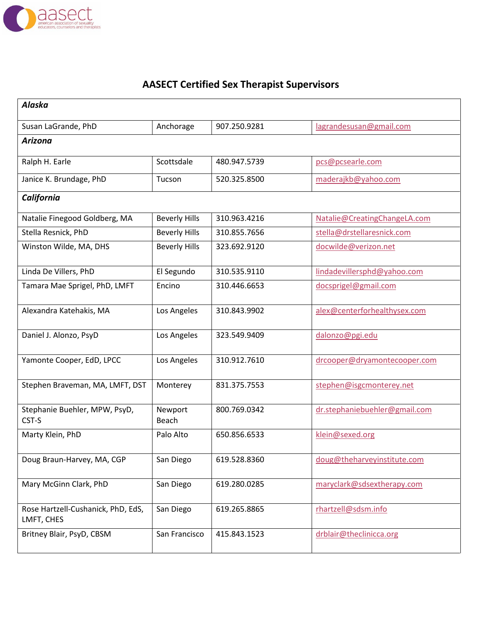

## **AASECT Certified Sex Therapist Supervisors**

| <b>Alaska</b>                                    |                      |              |                               |
|--------------------------------------------------|----------------------|--------------|-------------------------------|
| Susan LaGrande, PhD                              | Anchorage            | 907.250.9281 | lagrandesusan@gmail.com       |
| <b>Arizona</b>                                   |                      |              |                               |
| Ralph H. Earle                                   | Scottsdale           | 480.947.5739 | pcs@pcsearle.com              |
| Janice K. Brundage, PhD                          | Tucson               | 520.325.8500 | maderajkb@yahoo.com           |
| California                                       |                      |              |                               |
| Natalie Finegood Goldberg, MA                    | <b>Beverly Hills</b> | 310.963.4216 | Natalie@CreatingChangeLA.com  |
| Stella Resnick, PhD                              | <b>Beverly Hills</b> | 310.855.7656 | stella@drstellaresnick.com    |
| Winston Wilde, MA, DHS                           | <b>Beverly Hills</b> | 323.692.9120 | docwilde@verizon.net          |
| Linda De Villers, PhD                            | El Segundo           | 310.535.9110 | lindadevillersphd@yahoo.com   |
| Tamara Mae Sprigel, PhD, LMFT                    | Encino               | 310.446.6653 | docsprigel@gmail.com          |
| Alexandra Katehakis, MA                          | Los Angeles          | 310.843.9902 | alex@centerforhealthysex.com  |
| Daniel J. Alonzo, PsyD                           | Los Angeles          | 323.549.9409 | dalonzo@pgi.edu               |
| Yamonte Cooper, EdD, LPCC                        | Los Angeles          | 310.912.7610 | drcooper@dryamontecooper.com  |
| Stephen Braveman, MA, LMFT, DST                  | Monterey             | 831.375.7553 | stephen@isgcmonterey.net      |
| Stephanie Buehler, MPW, PsyD,<br>CST-S           | Newport<br>Beach     | 800.769.0342 | dr.stephaniebuehler@gmail.com |
| Marty Klein, PhD                                 | Palo Alto            | 650.856.6533 | klein@sexed.org               |
| Doug Braun-Harvey, MA, CGP                       | San Diego            | 619.528.8360 | doug@theharveyinstitute.com   |
| Mary McGinn Clark, PhD                           | San Diego            | 619.280.0285 | maryclark@sdsextherapy.com    |
| Rose Hartzell-Cushanick, PhD, EdS,<br>LMFT, CHES | San Diego            | 619.265.8865 | rhartzell@sdsm.info           |
| Britney Blair, PsyD, CBSM                        | San Francisco        | 415.843.1523 | drblair@theclinicca.org       |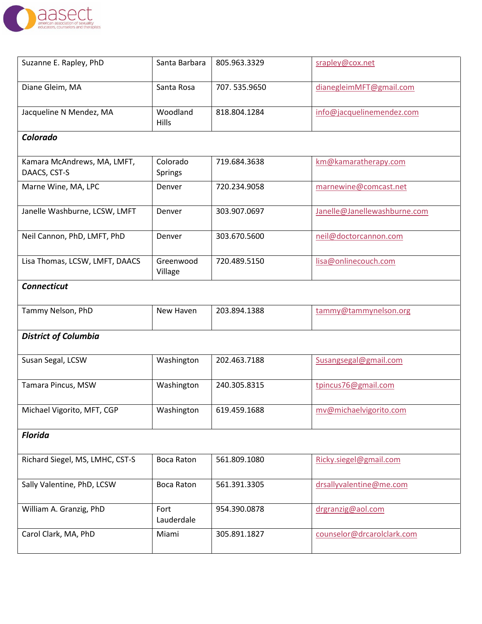

| Suzanne E. Rapley, PhD                      | Santa Barbara            | 805.963.3329 | srapley@cox.net              |
|---------------------------------------------|--------------------------|--------------|------------------------------|
| Diane Gleim, MA                             | Santa Rosa               | 707.535.9650 | dianegleimMFT@gmail.com      |
| Jacqueline N Mendez, MA                     | Woodland<br><b>Hills</b> | 818.804.1284 | info@jacquelinemendez.com    |
| Colorado                                    |                          |              |                              |
| Kamara McAndrews, MA, LMFT,<br>DAACS, CST-S | Colorado<br>Springs      | 719.684.3638 | km@kamaratherapy.com         |
| Marne Wine, MA, LPC                         | Denver                   | 720.234.9058 | marnewine@comcast.net        |
| Janelle Washburne, LCSW, LMFT               | Denver                   | 303.907.0697 | Janelle@Janellewashburne.com |
| Neil Cannon, PhD, LMFT, PhD                 | Denver                   | 303.670.5600 | neil@doctorcannon.com        |
| Lisa Thomas, LCSW, LMFT, DAACS              | Greenwood<br>Village     | 720.489.5150 | lisa@onlinecouch.com         |
| <b>Connecticut</b>                          |                          |              |                              |
| Tammy Nelson, PhD                           | New Haven                | 203.894.1388 | tammy@tammynelson.org        |
| <b>District of Columbia</b>                 |                          |              |                              |
| Susan Segal, LCSW                           | Washington               | 202.463.7188 | Susangsegal@gmail.com        |
| Tamara Pincus, MSW                          | Washington               | 240.305.8315 | tpincus76@gmail.com          |
| Michael Vigorito, MFT, CGP                  | Washington               | 619.459.1688 | mv@michaelvigorito.com       |
| <b>Florida</b>                              |                          |              |                              |
| Richard Siegel, MS, LMHC, CST-S             | <b>Boca Raton</b>        | 561.809.1080 | Ricky.siegel@gmail.com       |
| Sally Valentine, PhD, LCSW                  | <b>Boca Raton</b>        | 561.391.3305 | drsallyvalentine@me.com      |
| William A. Granzig, PhD                     | Fort<br>Lauderdale       | 954.390.0878 | drgranzig@aol.com            |
| Carol Clark, MA, PhD                        | Miami                    | 305.891.1827 | counselor@drcarolclark.com   |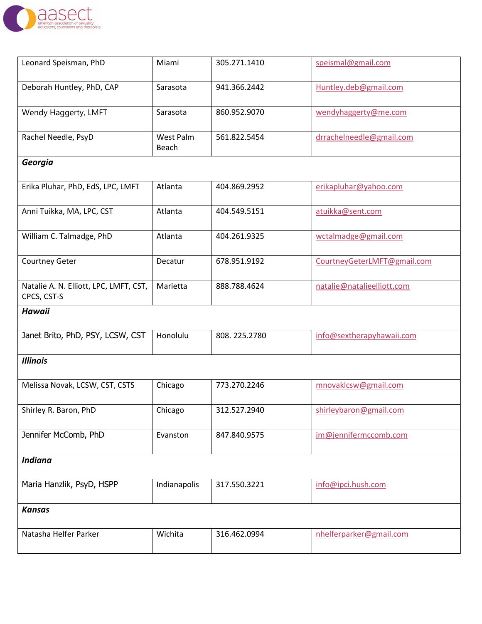

| Leonard Speisman, PhD                                 | Miami              | 305.271.1410 | speismal@gmail.com          |
|-------------------------------------------------------|--------------------|--------------|-----------------------------|
| Deborah Huntley, PhD, CAP                             | Sarasota           | 941.366.2442 | Huntley.deb@gmail.com       |
| Wendy Haggerty, LMFT                                  | Sarasota           | 860.952.9070 | wendyhaggerty@me.com        |
| Rachel Needle, PsyD                                   | West Palm<br>Beach | 561.822.5454 | drrachelneedle@gmail.com    |
| Georgia                                               |                    |              |                             |
| Erika Pluhar, PhD, EdS, LPC, LMFT                     | Atlanta            | 404.869.2952 | erikapluhar@yahoo.com       |
| Anni Tuikka, MA, LPC, CST                             | Atlanta            | 404.549.5151 | atuikka@sent.com            |
| William C. Talmadge, PhD                              | Atlanta            | 404.261.9325 | wctalmadge@gmail.com        |
| Courtney Geter                                        | Decatur            | 678.951.9192 | CourtneyGeterLMFT@gmail.com |
| Natalie A. N. Elliott, LPC, LMFT, CST,<br>CPCS, CST-S | Marietta           | 888.788.4624 | natalie@natalieelliott.com  |
| <b>Hawaii</b>                                         |                    |              |                             |
| Janet Brito, PhD, PSY, LCSW, CST                      | Honolulu           | 808.225.2780 | info@sextherapyhawaii.com   |
| <b>Illinois</b>                                       |                    |              |                             |
| Melissa Novak, LCSW, CST, CSTS                        | Chicago            | 773.270.2246 | mnovaklcsw@gmail.com        |
| Shirley R. Baron, PhD                                 | Chicago            | 312.527.2940 | shirleybaron@gmail.com      |
| Jennifer McComb, PhD                                  | Evanston           | 847.840.9575 | jm@jennifermccomb.com       |
| <b>Indiana</b>                                        |                    |              |                             |
| Maria Hanzlik, PsyD, HSPP                             | Indianapolis       | 317.550.3221 | info@ipci.hush.com          |
| <b>Kansas</b>                                         |                    |              |                             |
| Natasha Helfer Parker                                 | Wichita            | 316.462.0994 | nhelferparker@gmail.com     |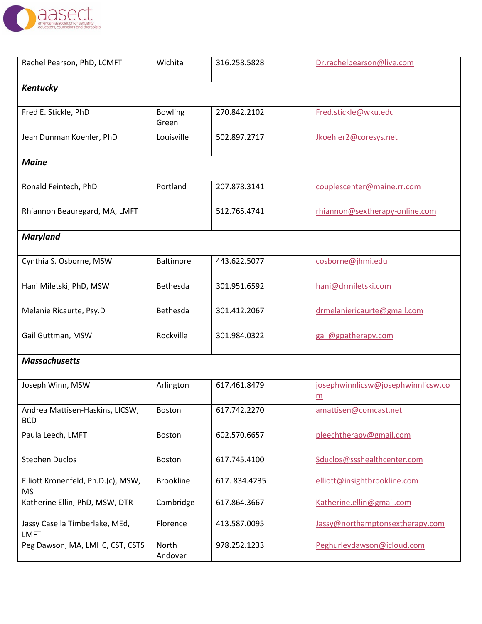

| Rachel Pearson, PhD, LCMFT                      | Wichita                 | 316.258.5828 | Dr.rachelpearson@live.com               |  |  |
|-------------------------------------------------|-------------------------|--------------|-----------------------------------------|--|--|
| Kentucky                                        |                         |              |                                         |  |  |
| Fred E. Stickle, PhD                            | <b>Bowling</b><br>Green | 270.842.2102 | Fred.stickle@wku.edu                    |  |  |
| Jean Dunman Koehler, PhD                        | Louisville              | 502.897.2717 | Jkoehler2@coresys.net                   |  |  |
| <b>Maine</b>                                    |                         |              |                                         |  |  |
| Ronald Feintech, PhD                            | Portland                | 207.878.3141 | couplescenter@maine.rr.com              |  |  |
| Rhiannon Beauregard, MA, LMFT                   |                         | 512.765.4741 | rhiannon@sextherapy-online.com          |  |  |
| <b>Maryland</b>                                 |                         |              |                                         |  |  |
| Cynthia S. Osborne, MSW                         | <b>Baltimore</b>        | 443.622.5077 | cosborne@jhmi.edu                       |  |  |
| Hani Miletski, PhD, MSW                         | Bethesda                | 301.951.6592 | hani@drmiletski.com                     |  |  |
| Melanie Ricaurte, Psy.D                         | Bethesda                | 301.412.2067 | drmelaniericaurte@gmail.com             |  |  |
| Gail Guttman, MSW                               | Rockville               | 301.984.0322 | gail@gpatherapy.com                     |  |  |
| <b>Massachusetts</b>                            |                         |              |                                         |  |  |
| Joseph Winn, MSW                                | Arlington               | 617.461.8479 | josephwinnlicsw@josephwinnlicsw.co<br>m |  |  |
| Andrea Mattisen-Haskins, LICSW,<br><b>BCD</b>   | Boston                  | 617.742.2270 | amattisen@comcast.net                   |  |  |
| Paula Leech, LMFT                               | Boston                  | 602.570.6657 | pleechtherapy@gmail.com                 |  |  |
| <b>Stephen Duclos</b>                           | <b>Boston</b>           | 617.745.4100 | Sduclos@ssshealthcenter.com             |  |  |
| Elliott Kronenfeld, Ph.D.(c), MSW,<br><b>MS</b> | <b>Brookline</b>        | 617.834.4235 | elliott@insightbrookline.com            |  |  |
| Katherine Ellin, PhD, MSW, DTR                  | Cambridge               | 617.864.3667 | Katherine.ellin@gmail.com               |  |  |
| Jassy Casella Timberlake, MEd,<br><b>LMFT</b>   | Florence                | 413.587.0095 | Jassy@northamptonsextherapy.com         |  |  |
| Peg Dawson, MA, LMHC, CST, CSTS                 | North<br>Andover        | 978.252.1233 | Peghurleydawson@icloud.com              |  |  |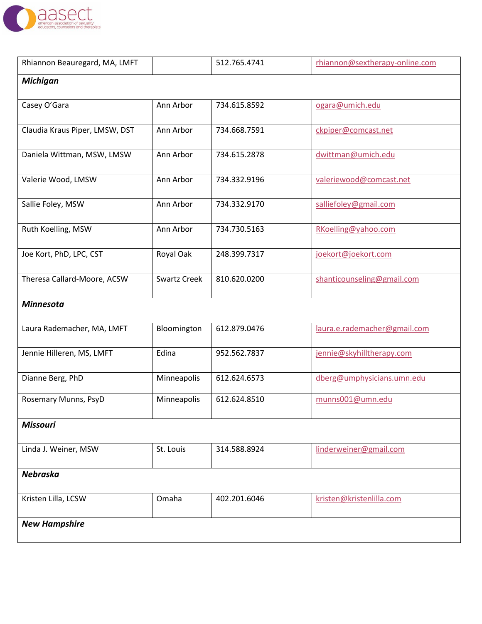

| Rhiannon Beauregard, MA, LMFT  |                     | 512.765.4741 | rhiannon@sextherapy-online.com |
|--------------------------------|---------------------|--------------|--------------------------------|
| <b>Michigan</b>                |                     |              |                                |
| Casey O'Gara                   | Ann Arbor           | 734.615.8592 | ogara@umich.edu                |
| Claudia Kraus Piper, LMSW, DST | Ann Arbor           | 734.668.7591 | ckpiper@comcast.net            |
| Daniela Wittman, MSW, LMSW     | Ann Arbor           | 734.615.2878 | dwittman@umich.edu             |
| Valerie Wood, LMSW             | Ann Arbor           | 734.332.9196 | valeriewood@comcast.net        |
| Sallie Foley, MSW              | Ann Arbor           | 734.332.9170 | salliefoley@gmail.com          |
| Ruth Koelling, MSW             | Ann Arbor           | 734.730.5163 | RKoelling@yahoo.com            |
| Joe Kort, PhD, LPC, CST        | Royal Oak           | 248.399.7317 | joekort@joekort.com            |
| Theresa Callard-Moore, ACSW    | <b>Swartz Creek</b> | 810.620.0200 | shanticounseling@gmail.com     |
| <b>Minnesota</b>               |                     |              |                                |
| Laura Rademacher, MA, LMFT     | Bloomington         | 612.879.0476 | laura.e.rademacher@gmail.com   |
| Jennie Hilleren, MS, LMFT      | Edina               | 952.562.7837 | jennie@skyhilltherapy.com      |
| Dianne Berg, PhD               | Minneapolis         | 612.624.6573 | dberg@umphysicians.umn.edu     |
| Rosemary Munns, PsyD           | Minneapolis         | 612.624.8510 | munns001@umn.edu               |
| <b>Missouri</b>                |                     |              |                                |
| Linda J. Weiner, MSW           | St. Louis           | 314.588.8924 | linderweiner@gmail.com         |
| <b>Nebraska</b>                |                     |              |                                |
| Kristen Lilla, LCSW            | Omaha               | 402.201.6046 | kristen@kristenlilla.com       |
| <b>New Hampshire</b>           |                     |              |                                |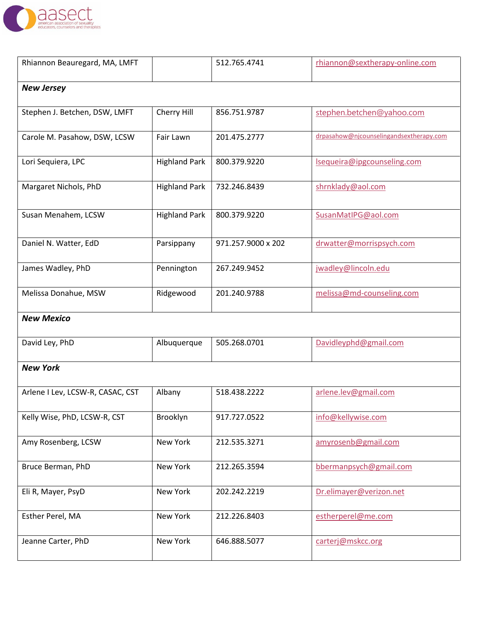

| Rhiannon Beauregard, MA, LMFT    |                      | 512.765.4741       | rhiannon@sextherapy-online.com          |  |  |
|----------------------------------|----------------------|--------------------|-----------------------------------------|--|--|
| <b>New Jersey</b>                |                      |                    |                                         |  |  |
| Stephen J. Betchen, DSW, LMFT    | Cherry Hill          | 856.751.9787       | stephen.betchen@yahoo.com               |  |  |
| Carole M. Pasahow, DSW, LCSW     | Fair Lawn            | 201.475.2777       | drpasahow@njcounselingandsextherapy.com |  |  |
| Lori Sequiera, LPC               | <b>Highland Park</b> | 800.379.9220       | Isequeira@ipgcounseling.com             |  |  |
| Margaret Nichols, PhD            | <b>Highland Park</b> | 732.246.8439       | shrnklady@aol.com                       |  |  |
| Susan Menahem, LCSW              | <b>Highland Park</b> | 800.379.9220       | SusanMatIPG@aol.com                     |  |  |
| Daniel N. Watter, EdD            | Parsippany           | 971.257.9000 x 202 | drwatter@morrispsych.com                |  |  |
| James Wadley, PhD                | Pennington           | 267.249.9452       | jwadley@lincoln.edu                     |  |  |
| Melissa Donahue, MSW             | Ridgewood            | 201.240.9788       | melissa@md-counseling.com               |  |  |
| <b>New Mexico</b>                |                      |                    |                                         |  |  |
| David Ley, PhD                   | Albuquerque          | 505.268.0701       | Davidleyphd@gmail.com                   |  |  |
| <b>New York</b>                  |                      |                    |                                         |  |  |
| Arlene I Lev, LCSW-R, CASAC, CST | Albany               | 518.438.2222       | arlene.lev@gmail.com                    |  |  |
| Kelly Wise, PhD, LCSW-R, CST     | Brooklyn             | 917.727.0522       | info@kellywise.com                      |  |  |
| Amy Rosenberg, LCSW              | New York             | 212.535.3271       | amyrosenb@gmail.com                     |  |  |
| Bruce Berman, PhD                | New York             | 212.265.3594       | bbermanpsych@gmail.com                  |  |  |
| Eli R, Mayer, PsyD               | New York             | 202.242.2219       | Dr.elimayer@verizon.net                 |  |  |
| Esther Perel, MA                 | New York             | 212.226.8403       | estherperel@me.com                      |  |  |
| Jeanne Carter, PhD               | New York             | 646.888.5077       | carterj@mskcc.org                       |  |  |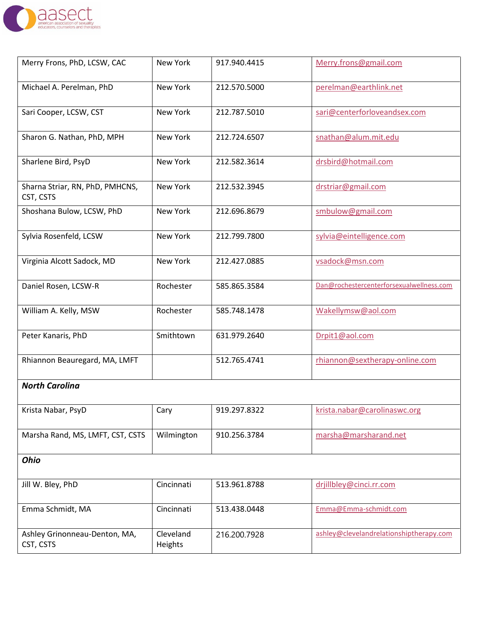

| Merry Frons, PhD, LCSW, CAC                  | New York             | 917.940.4415 | Merry.frons@gmail.com                    |
|----------------------------------------------|----------------------|--------------|------------------------------------------|
| Michael A. Perelman, PhD                     | New York             | 212.570.5000 | perelman@earthlink.net                   |
| Sari Cooper, LCSW, CST                       | New York             | 212.787.5010 | sari@centerforloveandsex.com             |
| Sharon G. Nathan, PhD, MPH                   | New York             | 212.724.6507 | snathan@alum.mit.edu                     |
| Sharlene Bird, PsyD                          | New York             | 212.582.3614 | drsbird@hotmail.com                      |
| Sharna Striar, RN, PhD, PMHCNS,<br>CST, CSTS | New York             | 212.532.3945 | drstriar@gmail.com                       |
| Shoshana Bulow, LCSW, PhD                    | New York             | 212.696.8679 | smbulow@gmail.com                        |
| Sylvia Rosenfeld, LCSW                       | New York             | 212.799.7800 | sylvia@eintelligence.com                 |
| Virginia Alcott Sadock, MD                   | New York             | 212.427.0885 | vsadock@msn.com                          |
| Daniel Rosen, LCSW-R                         | Rochester            | 585.865.3584 | Dan@rochestercenterforsexualwellness.com |
| William A. Kelly, MSW                        | Rochester            | 585.748.1478 | Wakellymsw@aol.com                       |
| Peter Kanaris, PhD                           | Smithtown            | 631.979.2640 | Drpit1@aol.com                           |
| Rhiannon Beauregard, MA, LMFT                |                      | 512.765.4741 | rhiannon@sextherapy-online.com           |
| <b>North Carolina</b>                        |                      |              |                                          |
| Krista Nabar, PsyD                           | $\overline{C}$ ary   | 919.297.8322 | krista.nabar@carolinaswc.org             |
| Marsha Rand, MS, LMFT, CST, CSTS             | Wilmington           | 910.256.3784 | marsha@marsharand.net                    |
| <b>Ohio</b>                                  |                      |              |                                          |
| Jill W. Bley, PhD                            | Cincinnati           | 513.961.8788 | drjillbley@cinci.rr.com                  |
| Emma Schmidt, MA                             | Cincinnati           | 513.438.0448 | Emma@Emma-schmidt.com                    |
| Ashley Grinonneau-Denton, MA,<br>CST, CSTS   | Cleveland<br>Heights | 216.200.7928 | ashley@clevelandrelationshiptherapy.com  |
|                                              |                      |              |                                          |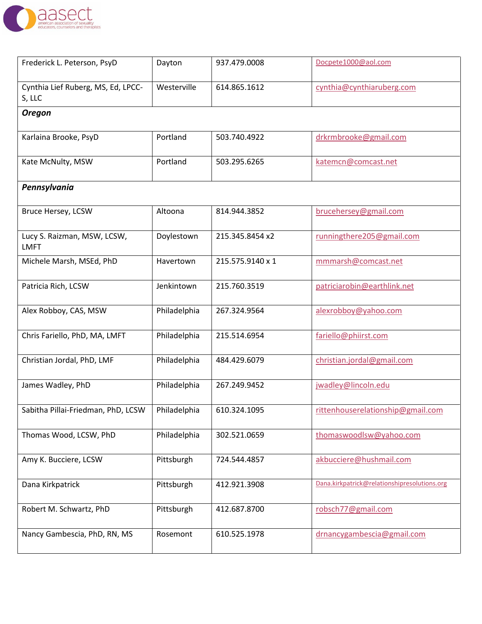

| Frederick L. Peterson, PsyD                  | Dayton       | 937.479.0008     | Docpete1000@aol.com                          |
|----------------------------------------------|--------------|------------------|----------------------------------------------|
| Cynthia Lief Ruberg, MS, Ed, LPCC-<br>S, LLC | Westerville  | 614.865.1612     | cynthia@cynthiaruberg.com                    |
| <b>Oregon</b>                                |              |                  |                                              |
| Karlaina Brooke, PsyD                        | Portland     | 503.740.4922     | drkrmbrooke@gmail.com                        |
| Kate McNulty, MSW                            | Portland     | 503.295.6265     | katemcn@comcast.net                          |
| Pennsylvania                                 |              |                  |                                              |
| Bruce Hersey, LCSW                           | Altoona      | 814.944.3852     | brucehersey@gmail.com                        |
| Lucy S. Raizman, MSW, LCSW,<br><b>LMFT</b>   | Doylestown   | 215.345.8454 x2  | runningthere205@gmail.com                    |
| Michele Marsh, MSEd, PhD                     | Havertown    | 215.575.9140 x 1 | mmmarsh@comcast.net                          |
| Patricia Rich, LCSW                          | Jenkintown   | 215.760.3519     | patriciarobin@earthlink.net                  |
| Alex Robboy, CAS, MSW                        | Philadelphia | 267.324.9564     | alexrobboy@yahoo.com                         |
| Chris Fariello, PhD, MA, LMFT                | Philadelphia | 215.514.6954     | fariello@phiirst.com                         |
| Christian Jordal, PhD, LMF                   | Philadelphia | 484.429.6079     | christian.jordal@gmail.com                   |
| James Wadley, PhD                            | Philadelphia | 267.249.9452     | jwadley@lincoln.edu                          |
| Sabitha Pillai-Friedman, PhD, LCSW           | Philadelphia | 610.324.1095     | rittenhouserelationship@gmail.com            |
| Thomas Wood, LCSW, PhD                       | Philadelphia | 302.521.0659     | thomaswoodlsw@yahoo.com                      |
| Amy K. Bucciere, LCSW                        | Pittsburgh   | 724.544.4857     | akbucciere@hushmail.com                      |
| Dana Kirkpatrick                             | Pittsburgh   | 412.921.3908     | Dana.kirkpatrick@relationshipresolutions.org |
| Robert M. Schwartz, PhD                      | Pittsburgh   | 412.687.8700     | robsch77@gmail.com                           |
| Nancy Gambescia, PhD, RN, MS                 | Rosemont     | 610.525.1978     | drnancygambescia@gmail.com                   |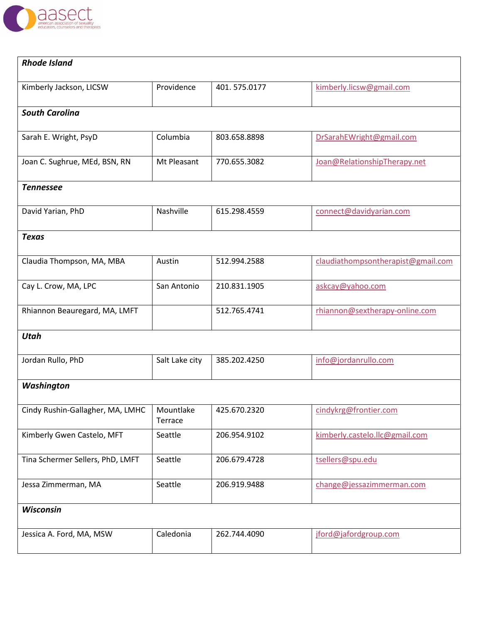

| <b>Rhode Island</b>              |                      |              |                                    |
|----------------------------------|----------------------|--------------|------------------------------------|
| Kimberly Jackson, LICSW          | Providence           | 401.575.0177 | kimberly.licsw@gmail.com           |
| <b>South Carolina</b>            |                      |              |                                    |
| Sarah E. Wright, PsyD            | Columbia             | 803.658.8898 | DrSarahEWright@gmail.com           |
| Joan C. Sughrue, MEd, BSN, RN    | Mt Pleasant          | 770.655.3082 | Joan@RelationshipTherapy.net       |
| <b>Tennessee</b>                 |                      |              |                                    |
| David Yarian, PhD                | Nashville            | 615.298.4559 | connect@davidyarian.com            |
| <b>Texas</b>                     |                      |              |                                    |
| Claudia Thompson, MA, MBA        | Austin               | 512.994.2588 | claudiathompsontherapist@gmail.com |
| Cay L. Crow, MA, LPC             | San Antonio          | 210.831.1905 | askcay@yahoo.com                   |
| Rhiannon Beauregard, MA, LMFT    |                      | 512.765.4741 | rhiannon@sextherapy-online.com     |
| <b>Utah</b>                      |                      |              |                                    |
| Jordan Rullo, PhD                | Salt Lake city       | 385.202.4250 | info@jordanrullo.com               |
| Washington                       |                      |              |                                    |
| Cindy Rushin-Gallagher, MA, LMHC | Mountlake<br>Terrace | 425.670.2320 | cindykrg@frontier.com              |
| Kimberly Gwen Castelo, MFT       | Seattle              | 206.954.9102 | kimberly.castelo.llc@gmail.com     |
| Tina Schermer Sellers, PhD, LMFT | Seattle              | 206.679.4728 | tsellers@spu.edu                   |
| Jessa Zimmerman, MA              | Seattle              | 206.919.9488 | change@jessazimmerman.com          |
| Wisconsin                        |                      |              |                                    |
| Jessica A. Ford, MA, MSW         | Caledonia            | 262.744.4090 | jford@jafordgroup.com              |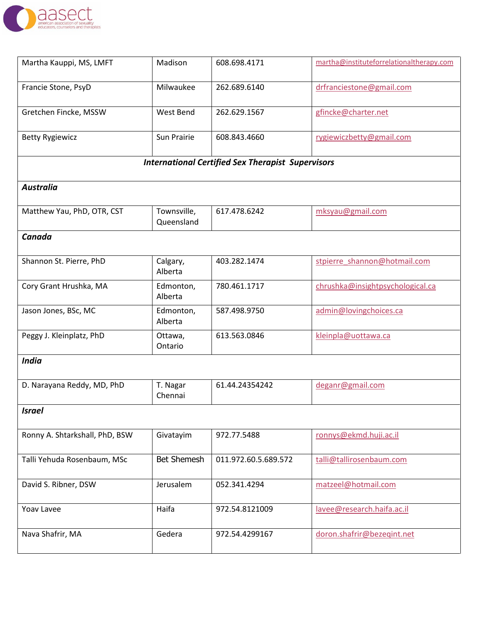

| Martha Kauppi, MS, LMFT                                  | Madison                   | 608.698.4171         | martha@instituteforrelationaltherapy.com |  |  |  |  |
|----------------------------------------------------------|---------------------------|----------------------|------------------------------------------|--|--|--|--|
| Francie Stone, PsyD                                      | Milwaukee                 | 262.689.6140         | drfranciestone@gmail.com                 |  |  |  |  |
| Gretchen Fincke, MSSW                                    | West Bend                 | 262.629.1567         | gfincke@charter.net                      |  |  |  |  |
| <b>Betty Rygiewicz</b>                                   | Sun Prairie               | 608.843.4660         | rygiewiczbetty@gmail.com                 |  |  |  |  |
| <b>International Certified Sex Therapist Supervisors</b> |                           |                      |                                          |  |  |  |  |
| <b>Australia</b>                                         |                           |                      |                                          |  |  |  |  |
| Matthew Yau, PhD, OTR, CST                               | Townsville,<br>Queensland | 617.478.6242         | mksyau@gmail.com                         |  |  |  |  |
| Canada                                                   |                           |                      |                                          |  |  |  |  |
| Shannon St. Pierre, PhD                                  | Calgary,<br>Alberta       | 403.282.1474         | stpierre shannon@hotmail.com             |  |  |  |  |
| Cory Grant Hrushka, MA                                   | Edmonton,<br>Alberta      | 780.461.1717         | chrushka@insightpsychological.ca         |  |  |  |  |
| Jason Jones, BSc, MC                                     | Edmonton,<br>Alberta      | 587.498.9750         | admin@lovingchoices.ca                   |  |  |  |  |
| Peggy J. Kleinplatz, PhD                                 | Ottawa,<br>Ontario        | 613.563.0846         | kleinpla@uottawa.ca                      |  |  |  |  |
| <b>India</b>                                             |                           |                      |                                          |  |  |  |  |
| D. Narayana Reddy, MD, PhD                               | T. Nagar<br>Chennai       | 61.44.24354242       | deganr@gmail.com                         |  |  |  |  |
| <b>Israel</b>                                            |                           |                      |                                          |  |  |  |  |
| Ronny A. Shtarkshall, PhD, BSW                           | Givatayim                 | 972.77.5488          | ronnys@ekmd.huji.ac.il                   |  |  |  |  |
| Talli Yehuda Rosenbaum, MSc                              | <b>Bet Shemesh</b>        | 011.972.60.5.689.572 | talli@tallirosenbaum.com                 |  |  |  |  |
| David S. Ribner, DSW                                     | Jerusalem                 | 052.341.4294         | matzeel@hotmail.com                      |  |  |  |  |
| <b>Yoav Lavee</b>                                        | Haifa                     | 972.54.8121009       | lavee@research.haifa.ac.il               |  |  |  |  |
| Nava Shafrir, MA                                         | Gedera                    | 972.54.4299167       | doron.shafrir@bezeqint.net               |  |  |  |  |